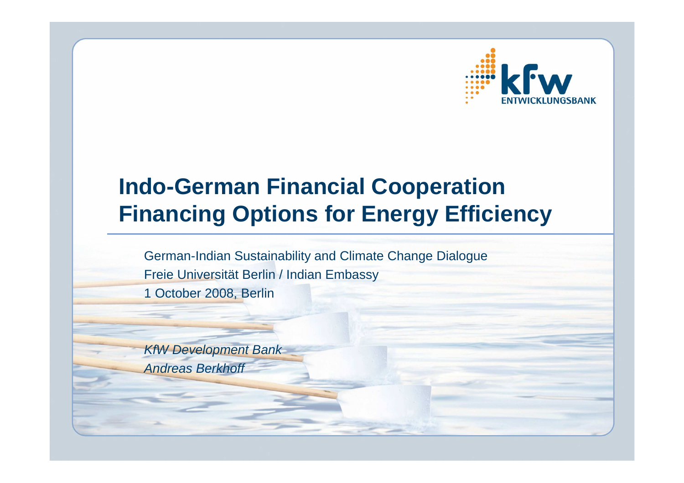

## **Indo-German Financial CooperationFinancing Options for Energy Efficiency**

German-Indian Sustainability and Climate Change DialogueFreie Universität Berlin / Indian Embassy1 October 2008, Berlin

KfW Development BankAndreas Berkhoff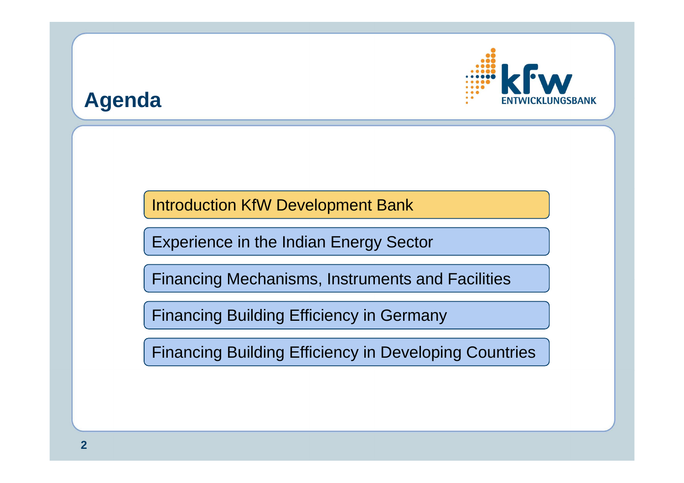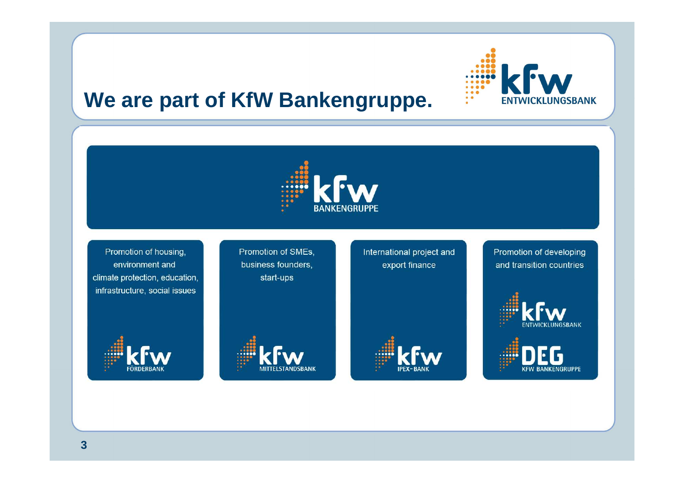

### **We are part of KfW Bankengruppe.**



Promotion of housing, environment and climate protection, education, infrastructure, social issues



Promotion of SMEs, business founders, start-ups



International project and export finance

Promotion of developing and transition countries



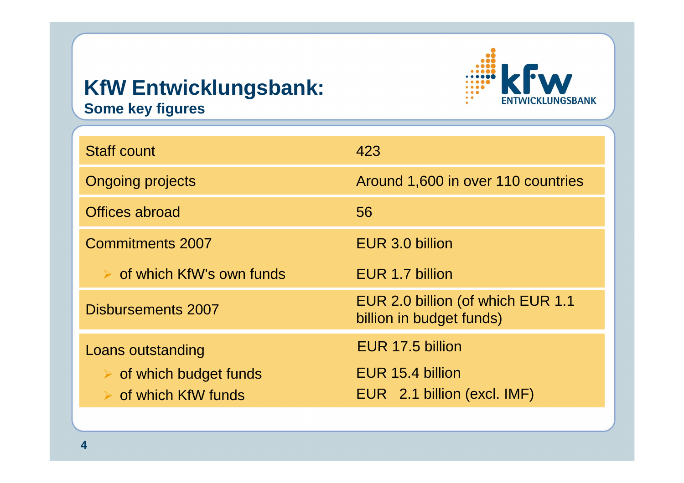### **KfW Entwicklungsbank:Some key figures**



| <b>Staff count</b>                                                                                 | 423                                                                 |
|----------------------------------------------------------------------------------------------------|---------------------------------------------------------------------|
| <b>Ongoing projects</b>                                                                            | Around 1,600 in over 110 countries                                  |
| Offices abroad                                                                                     | 56                                                                  |
| <b>Commitments 2007</b>                                                                            | EUR 3.0 billion                                                     |
| $\triangleright$ of which KfW's own funds                                                          | EUR 1.7 billion                                                     |
| Disbursements 2007                                                                                 | EUR 2.0 billion (of which EUR 1.1<br>billion in budget funds)       |
| Loans outstanding<br>$\triangleright$ of which budget funds<br>$\triangleright$ of which KfW funds | EUR 17.5 billion<br>EUR 15.4 billion<br>EUR 2.1 billion (excl. IMF) |
|                                                                                                    |                                                                     |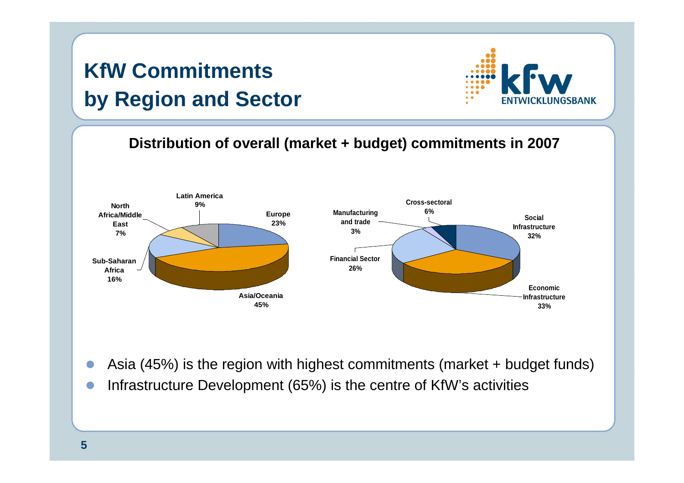## **KfW Commitments by Region and Sector**



**Distribution of overall (market + budget) commitments in 2007** 



- $\blacksquare$ Asia (45%) is the region with highest commitments (market + budget funds)
- -Infrastructure Development (65%) is the centre of KfW's activities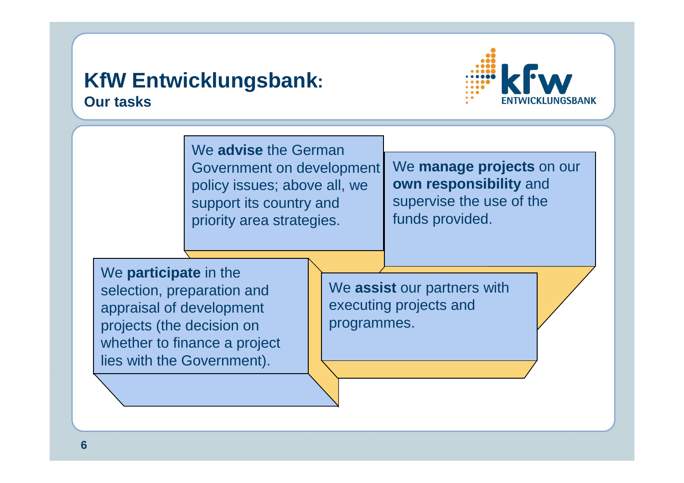### **KfW Entwicklungsbank:Our tasks**



We **advise** the German Government on development policy issues; above all, we support its country and priority area strategies.

We **manage projects** on our **own responsibility** and supervise the use of the funds provided.

We **participate** in the selection, preparation and appraisal of development projects (the decision on whether to finance a project lies with the Government).

We **assist** our partners with executing projects and programmes.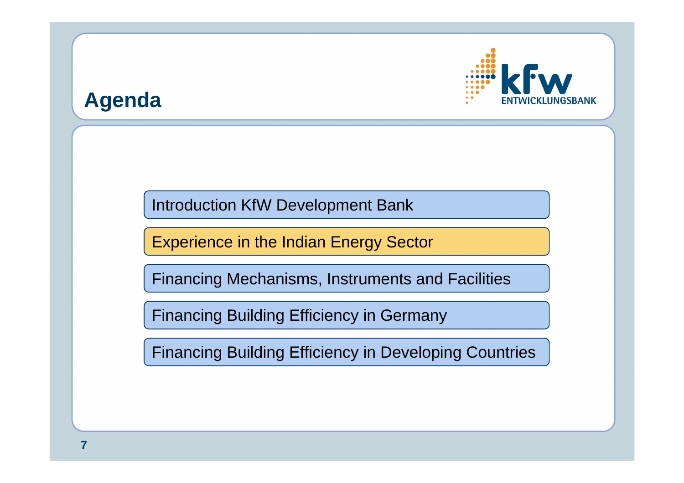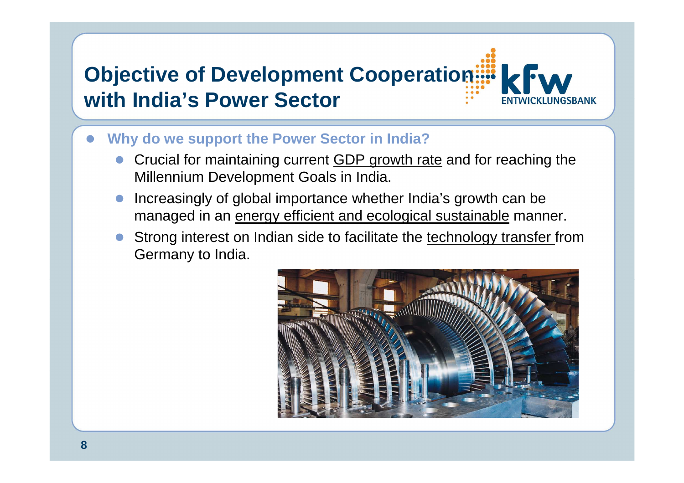# **Objective of Development Cooperation:::: with India's Power Sector**

- $\bullet$  **Why do we support the Power Sector in India?**
	- $\bullet$  Crucial for maintaining current GDP growth rate and for reaching the Millennium Development Goals in India.
	- $\bullet$  Increasingly of global importance whether India's growth can be managed in an <u>energy efficient and ecological sustainable</u> manner.
	- $\bullet$ Strong interest on Indian side to facilitate the technology transfer from Germany to India.

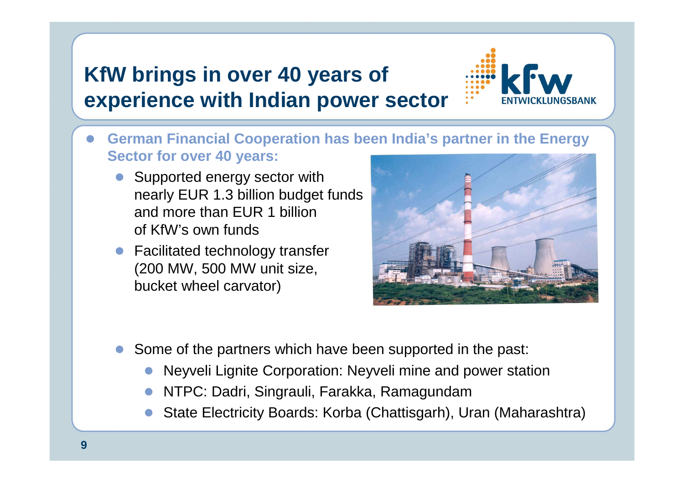### **KfW brings in over 40 years of experience with Indian power sector**



- $\bullet$  **German Financial Cooperation has been India's partner in the Energy Sector for over 40 years:**
	- Supported energy sector with nearly EUR 1.3 billion budget funds and more than EUR 1 billion of KfW's own funds
	- Facilitated technology transfer (200 MW, 500 MW unit size, bucket wheel carvator)



- $\bullet$  Some of the partners which have been supported in the past:
	- $\bullet$ Neyveli Lignite Corporation: Neyveli mine and power station
	- $\bullet$ NTPC: Dadri, Singrauli, Farakka, Ramagundam
	- State Electricity Boards: Korba (Chattisgarh), Uran (Maharashtra) $\bullet$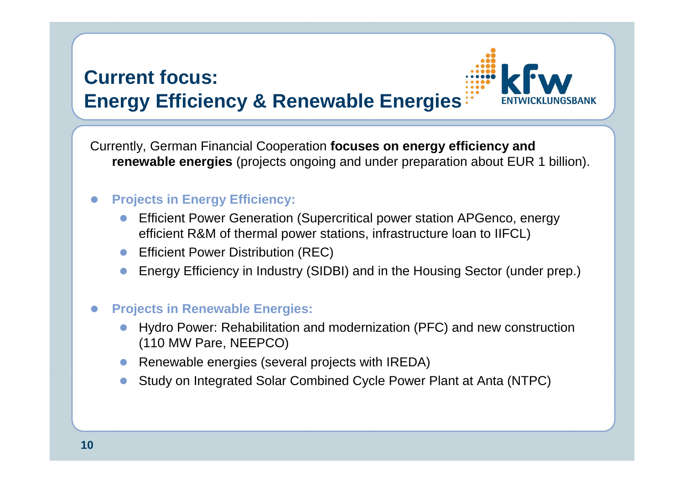### **Current focus:Energy Efficiency & Renewable Energies**

Currently, German Financial Cooperation **focuses on energy efficiency and renewable energies** (projects ongoing and under preparation about EUR 1 billion).

### -**Projects in Energy Efficiency:**

- $\bullet$  Efficient Power Generation (Supercritical power station APGenco, energy efficient R&M of thermal power stations, infrastructure loan to IIFCL)
- **•** Efficient Power Distribution (REC)
- $\bullet$ Energy Efficiency in Industry (SIDBI) and in the Housing Sector (under prep.)

#### $\bullet$ **Projects in Renewable Energies:**

- $\bullet$  Hydro Power: Rehabilitation and modernization (PFC) and new construction (110 MW Pare, NEEPCO)
- **•** Renewable energies (several projects with IREDA)
- -Study on Integrated Solar Combined Cycle Power Plant at Anta (NTPC)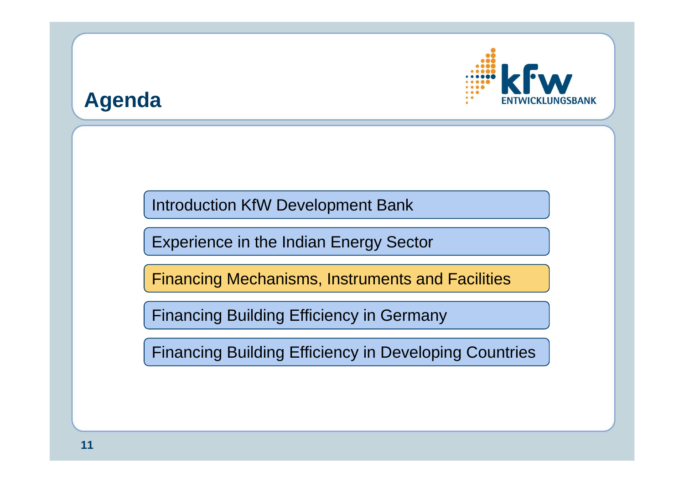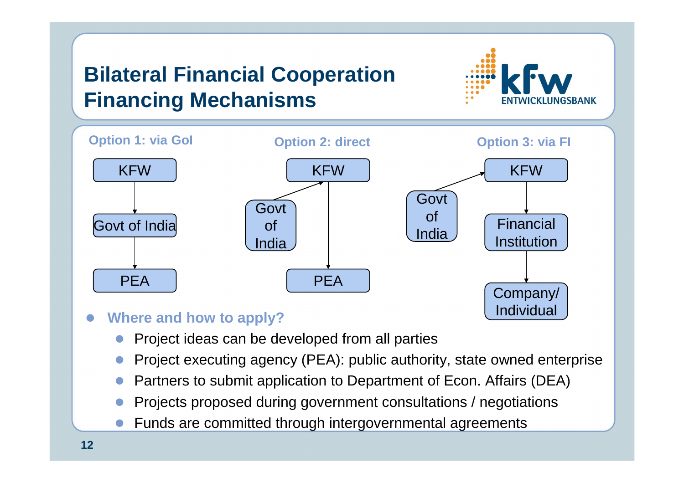## **Bilateral Financial CooperationFinancing Mechanisms**





- $\bullet$  **Where and how to apply?**
	- $\bullet$ Project ideas can be developed from all parties
	- $\bullet$ Project executing agency (PEA): public authority, state owned enterprise
	- $\bullet$ Partners to submit application to Department of Econ. Affairs (DEA)
	- $\bullet$ Projects proposed during government consultations / negotiations
	- $\bullet$ Funds are committed through intergovernmental agreements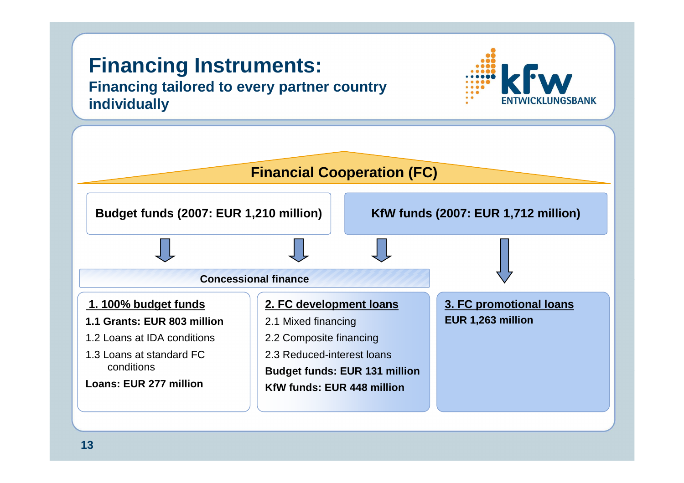### **Financing Instruments: Financing tailored to every partner country individually**



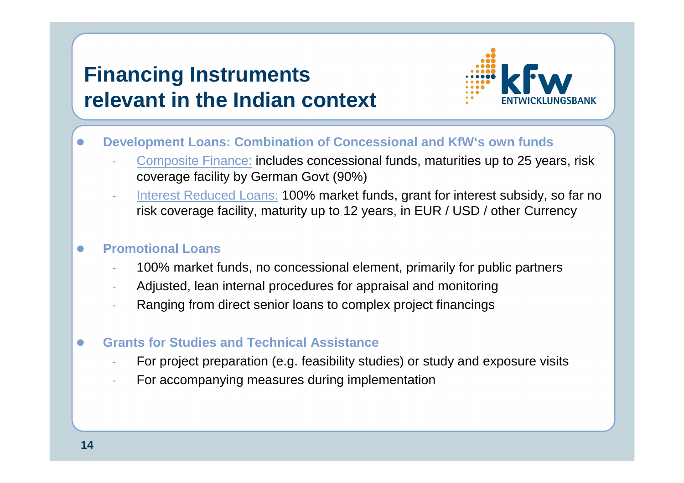### **Financing Instruments relevant in the Indian context**



- $\bullet$  **Development Loans: Combination of Concessional and KfW's own funds** 
	- Composite Finance: includes concessional funds, maturities up to 25 years, risk coverage facility by German Govt (90%)
	- Interest Reduced Loans: 100% market funds, grant for interest subsidy, so far no risk coverage facility, maturity up to 12 years, in EUR / USD / other Currency

### $\bullet$ **Promotional Loans**

- 100% market funds, no concessional element, primarily for public partners
- Adjusted, lean internal procedures for appraisal and monitoring
- Ranging from direct senior loans to complex project financings
- $\bullet$  **Grants for Studies and Technical Assistance**
	- For project preparation (e.g. feasibility studies) or study and exposure visits
	- For accompanying measures during implementation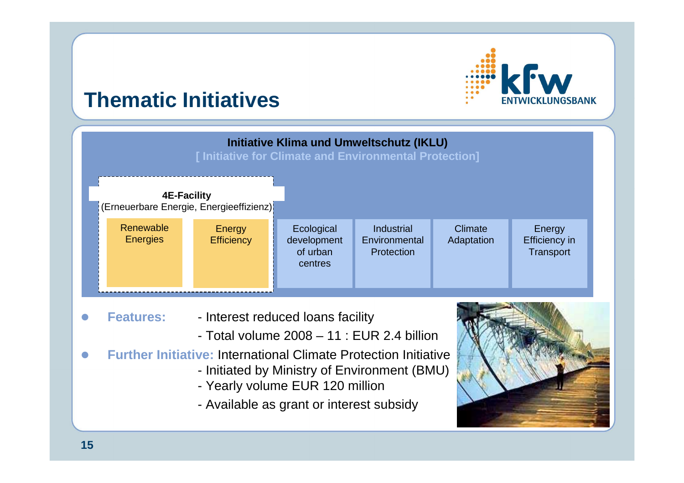# IGSBANK

### **Thematic Initiatives**



- Available as grant or interest subsidy

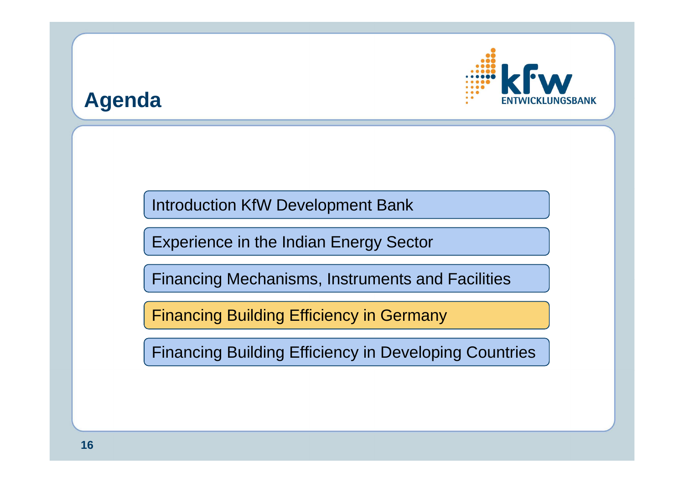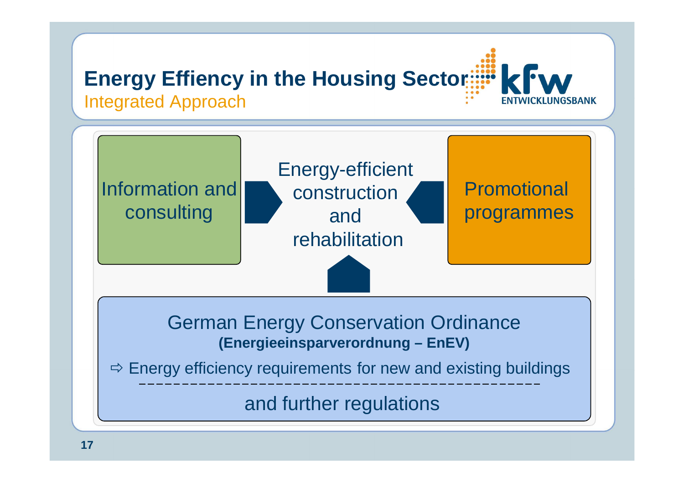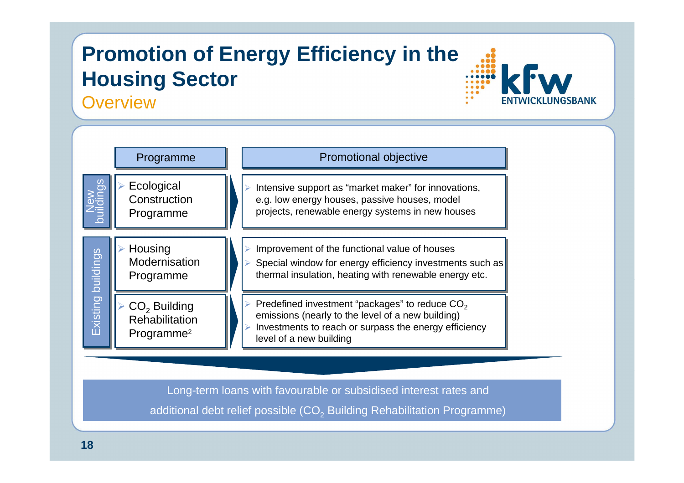## **Promotion of Energy Efficiency in the Housing Sector**

**Overview** 



**GSBANK** 

Long-term loans with favourable or subsidised interest rates andadditional debt relief possible (CO $_2$  Building Rehabilitation Programme)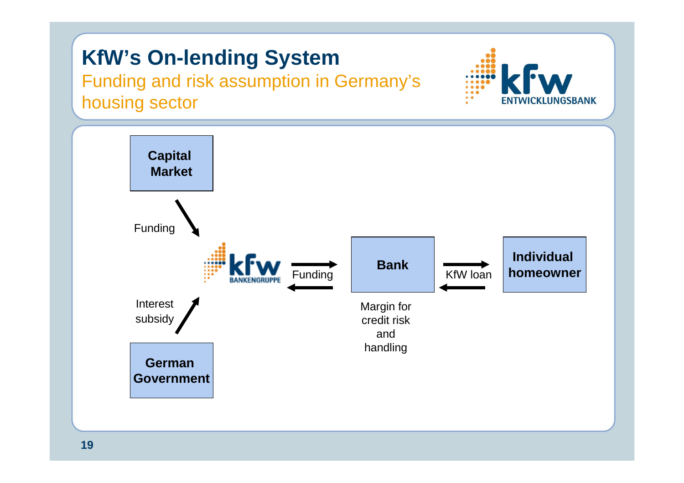## **KfW's On-lending System**

 Funding and risk assumption in Germany's housing sector



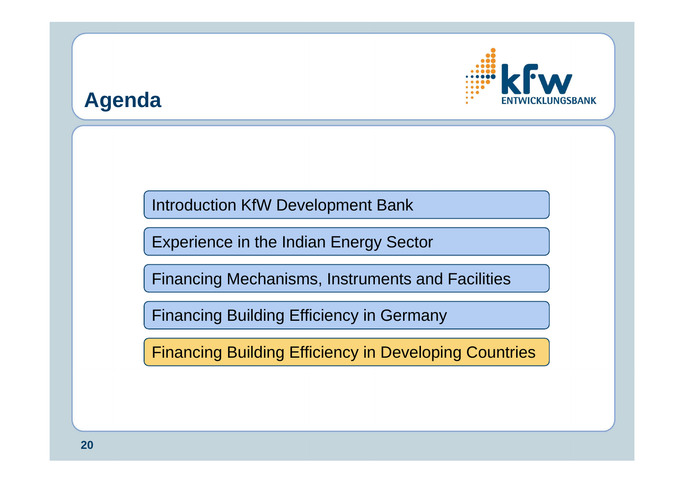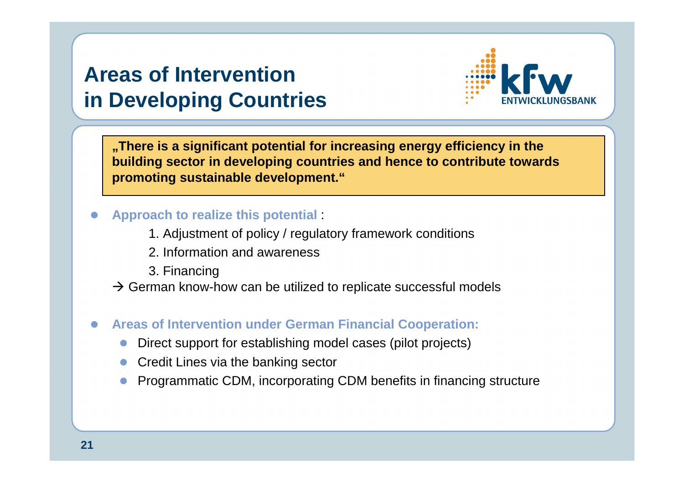### **Areas of Intervention in Developing Countries**



**"There is a significant potential for increasing energy efficiency in the building sector in developing countries and hence to contribute towardspromoting sustainable development."**

### $\bullet$ **Approach to realize this potential** :

- 1. Adjustment of policy / regulatory framework conditions
- 2. Information and awareness
- 3. Financing
- $\rightarrow$  German know-how can be utilized to replicate successful models

### -**Areas of Intervention under German Financial Cooperation:**

- $\bullet$ Direct support for establishing model cases (pilot projects)
- $\bullet$ Credit Lines via the banking sector
- -Programmatic CDM, incorporating CDM benefits in financing structure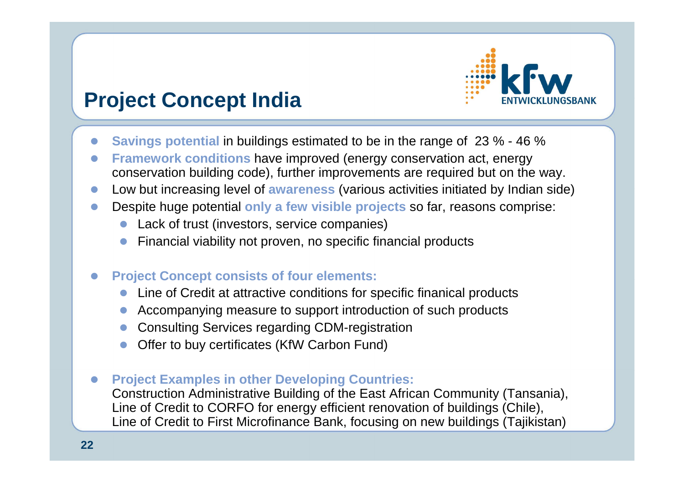

### **Project Concept India**

- $\bullet$ **Savings potential** in buildings estimated to be in the range of 23 % - 46 %
- - **Framework conditions** have improved (energy conservation act, energy conservation building code), further improvements are required but on the way.
- -Low but increasing level of **awareness** (various activities initiated by Indian side)
- $\bullet$  Despite huge potential **only a few visible projects** so far, reasons comprise:
	- Lack of trust (investors, service companies)
	- **•** Financial viability not proven, no specific financial products
- $\bullet$  **Project Concept consists of four elements:**
	- $\bullet$ Line of Credit at attractive conditions for specific finanical products
	- $\bullet$ Accompanying measure to support introduction of such products
	- **Consulting Services regarding CDM-registration**
	- $\bullet$ Offer to buy certificates (KfW Carbon Fund)
- $\bullet$  **Project Examples in other Developing Countries:** Construction Administrative Building of the East African Community (Tansania), Line of Credit to CORFO for energy efficient renovation of buildings (Chile), Line of Credit to First Microfinance Bank, focusing on new buildings (Tajikistan)